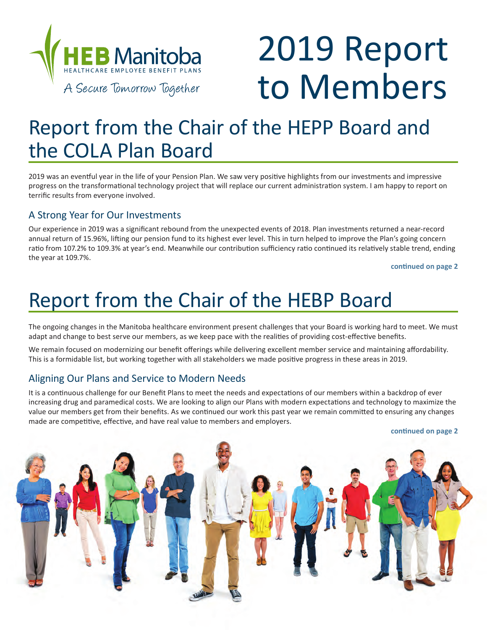

# 2019 Report to Members

## Report from the Chair of the HEPP Board and the COLA Plan Board

2019 was an eventful year in the life of your Pension Plan. We saw very positive highlights from our investments and impressive progress on the transformational technology project that will replace our current administration system. I am happy to report on terrific results from everyone involved.

#### A Strong Year for Our Investments

Our experience in 2019 was a significant rebound from the unexpected events of 2018. Plan investments returned a near-record annual return of 15.96%, lifting our pension fund to its highest ever level. This in turn helped to improve the Plan's going concern ratio from 107.2% to 109.3% at year's end. Meanwhile our contribution sufficiency ratio continued its relatively stable trend, ending the year at 109.7%.

**continued on page 2**

## Report from the Chair of the HEBP Board

The ongoing changes in the Manitoba healthcare environment present challenges that your Board is working hard to meet. We must adapt and change to best serve our members, as we keep pace with the realities of providing cost-effective benefits.

We remain focused on modernizing our benefit offerings while delivering excellent member service and maintaining affordability. This is a formidable list, but working together with all stakeholders we made positive progress in these areas in 2019.

#### Aligning Our Plans and Service to Modern Needs

It is a continuous challenge for our Benefit Plans to meet the needs and expectations of our members within a backdrop of ever increasing drug and paramedical costs. We are looking to align our Plans with modern expectations and technology to maximize the value our members get from their benefits. As we continued our work this past year we remain committed to ensuring any changes made are competitive, effective, and have real value to members and employers.

**continued on page 2**

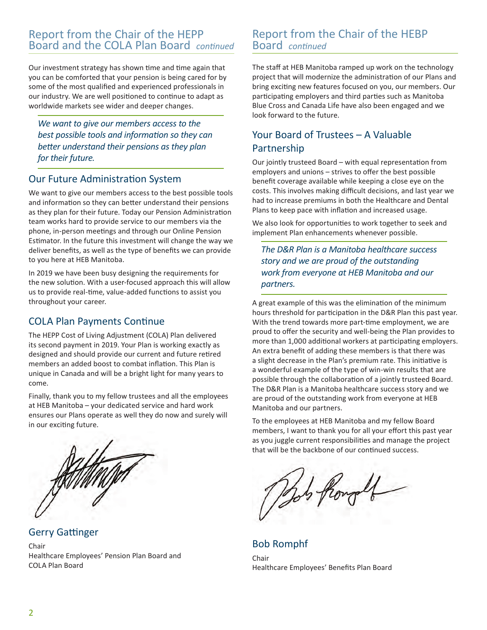#### Report from the Chair of the HEPP Board and the COLA Plan Board *continued*

Our investment strategy has shown time and time again that you can be comforted that your pension is being cared for by some of the most qualified and experienced professionals in our industry. We are well positioned to continue to adapt as worldwide markets see wider and deeper changes.

*We want to give our members access to the best possible tools and information so they can better understand their pensions as they plan for their future.* 

#### Our Future Administration System

We want to give our members access to the best possible tools and information so they can better understand their pensions as they plan for their future. Today our Pension Administration team works hard to provide service to our members via the phone, in-person meetings and through our Online Pension Estimator. In the future this investment will change the way we deliver benefits, as well as the type of benefits we can provide to you here at HEB Manitoba.

In 2019 we have been busy designing the requirements for the new solution. With a user-focused approach this will allow us to provide real-time, value-added functions to assist you throughout your career.

#### COLA Plan Payments Continue

The HEPP Cost of Living Adjustment (COLA) Plan delivered its second payment in 2019. Your Plan is working exactly as designed and should provide our current and future retired members an added boost to combat inflation. This Plan is unique in Canada and will be a bright light for many years to come.

Finally, thank you to my fellow trustees and all the employees at HEB Manitoba – your dedicated service and hard work ensures our Plans operate as well they do now and surely will in our exciting future.



Gerry Gattinger

Chair Healthcare Employees' Pension Plan Board and COLA Plan Board

#### Report from the Chair of the HEBP Board *continued*

The staff at HEB Manitoba ramped up work on the technology project that will modernize the administration of our Plans and bring exciting new features focused on you, our members. Our participating employers and third parties such as Manitoba Blue Cross and Canada Life have also been engaged and we look forward to the future.

### Your Board of Trustees – A Valuable Partnership

Our jointly trusteed Board – with equal representation from employers and unions – strives to offer the best possible benefit coverage available while keeping a close eye on the costs. This involves making difficult decisions, and last year we had to increase premiums in both the Healthcare and Dental Plans to keep pace with inflation and increased usage.

We also look for opportunities to work together to seek and implement Plan enhancements whenever possible.

*The D&R Plan is a Manitoba healthcare success story and we are proud of the outstanding work from everyone at HEB Manitoba and our partners.*

A great example of this was the elimination of the minimum hours threshold for participation in the D&R Plan this past year. With the trend towards more part-time employment, we are proud to offer the security and well-being the Plan provides to more than 1,000 additional workers at participating employers. An extra benefit of adding these members is that there was a slight decrease in the Plan's premium rate. This initiative is a wonderful example of the type of win-win results that are possible through the collaboration of a jointly trusteed Board. The D&R Plan is a Manitoba healthcare success story and we are proud of the outstanding work from everyone at HEB Manitoba and our partners.

To the employees at HEB Manitoba and my fellow Board members, I want to thank you for all your effort this past year as you juggle current responsibilities and manage the project that will be the backbone of our continued success.

Bob flowell

Bob Romphf

Chair Healthcare Employees' Benefits Plan Board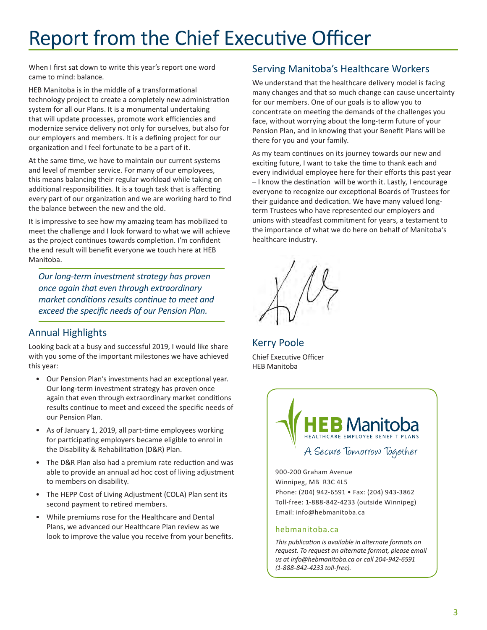## Report from the Chief Executive Officer

When I first sat down to write this year's report one word came to mind: balance.

HEB Manitoba is in the middle of a transformational technology project to create a completely new administration system for all our Plans. It is a monumental undertaking that will update processes, promote work efficiencies and modernize service delivery not only for ourselves, but also for our employers and members. It is a defining project for our organization and I feel fortunate to be a part of it.

At the same time, we have to maintain our current systems and level of member service. For many of our employees, this means balancing their regular workload while taking on additional responsibilities. It is a tough task that is affecting every part of our organization and we are working hard to find the balance between the new and the old.

It is impressive to see how my amazing team has mobilized to meet the challenge and I look forward to what we will achieve as the project continues towards completion. I'm confident the end result will benefit everyone we touch here at HEB Manitoba.

*Our long-term investment strategy has proven once again that even through extraordinary market conditions results continue to meet and exceed the specific needs of our Pension Plan.* 

#### Annual Highlights

Looking back at a busy and successful 2019, I would like share with you some of the important milestones we have achieved this year:

- Our Pension Plan's investments had an exceptional year. Our long-term investment strategy has proven once again that even through extraordinary market conditions results continue to meet and exceed the specific needs of our Pension Plan.
- As of January 1, 2019, all part-time employees working for participating employers became eligible to enrol in the Disability & Rehabilitation (D&R) Plan.
- The D&R Plan also had a premium rate reduction and was able to provide an annual ad hoc cost of living adjustment to members on disability.
- The HEPP Cost of Living Adjustment (COLA) Plan sent its second payment to retired members.
- While premiums rose for the Healthcare and Dental Plans, we advanced our Healthcare Plan review as we look to improve the value you receive from your benefits.

#### Serving Manitoba's Healthcare Workers

We understand that the healthcare delivery model is facing many changes and that so much change can cause uncertainty for our members. One of our goals is to allow you to concentrate on meeting the demands of the challenges you face, without worrying about the long-term future of your Pension Plan, and in knowing that your Benefit Plans will be there for you and your family.

As my team continues on its journey towards our new and exciting future, I want to take the time to thank each and every individual employee here for their efforts this past year – I know the destination will be worth it. Lastly, I encourage everyone to recognize our exceptional Boards of Trustees for their guidance and dedication. We have many valued longterm Trustees who have represented our employers and unions with steadfast commitment for years, a testament to the importance of what we do here on behalf of Manitoba's healthcare industry.

Kerry Poole Chief Executive Officer HEB Manitoba



900-200 Graham Avenue Winnipeg, MB R3C 4L5 Phone: (204) 942-6591 • Fax: (204) 943-3862 Toll-free: 1-888-842-4233 (outside Winnipeg) Email: info@hebmanitoba.ca

#### hebmanitoba.ca

*This publication is available in alternate formats on request. To request an alternate format, please email us at info@hebmanitoba.ca or call 204-942-6591 (1-888-842-4233 toll-free).*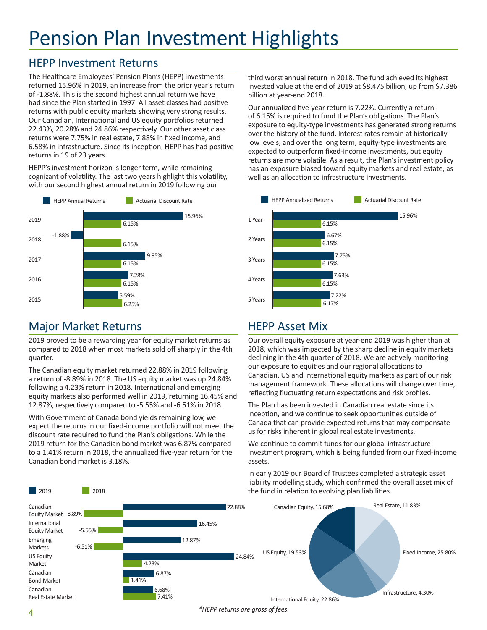## Pension Plan Investment Highlights

### HEPP Investment Returns

The Healthcare Employees' Pension Plan's (HEPP) investments returned 15.96% in 2019, an increase from the prior year's return of -1.88%. This is the second highest annual return we have had since the Plan started in 1997. All asset classes had positive returns with public equity markets showing very strong results. Our Canadian, International and US equity portfolios returned 22.43%, 20.28% and 24.86% respectively. Our other asset class returns were 7.75% in real estate, 7.88% in fixed income, and 6.58% in infrastructure. Since its inception, HEPP has had positive returns in 19 of 23 years.

HEPP's investment horizon is longer term, while remaining cognizant of volatility. The last two years highlight this volatility, with our second highest annual return in 2019 following our



### Major Market Returns

**2019** 2018

2019 proved to be a rewarding year for equity market returns as compared to 2018 when most markets sold off sharply in the 4th quarter.

The Canadian equity market returned 22.88% in 2019 following a return of -8.89% in 2018. The US equity market was up 24.84% following a 4.23% return in 2018. International and emerging equity markets also performed well in 2019, returning 16.45% and 12.87%, respectively compared to -5.55% and -6.51% in 2018.

With Government of Canada bond yields remaining low, we expect the returns in our fixed-income portfolio will not meet the discount rate required to fund the Plan's obligations. While the 2019 return for the Canadian bond market was 6.87% compared to a 1.41% return in 2018, the annualized five-year return for the Canadian bond market is 3.18%.

third worst annual return in 2018. The fund achieved its highest invested value at the end of 2019 at \$8.475 billion, up from \$7.386 billion at year-end 2018.

Our annualized five-year return is 7.22%. Currently a return of 6.15% is required to fund the Plan's obligations. The Plan's exposure to equity-type investments has generated strong returns over the history of the fund. Interest rates remain at historically low levels, and over the long term, equity-type investments are expected to outperform fixed-income investments, but equity returns are more volatile. As a result, the Plan's investment policy has an exposure biased toward equity markets and real estate, as well as an allocation to infrastructure investments.



### HEPP Asset Mix

Our overall equity exposure at year-end 2019 was higher than at 2018, which was impacted by the sharp decline in equity markets declining in the 4th quarter of 2018. We are actively monitoring our exposure to equities and our regional allocations to Canadian, US and International equity markets as part of our risk management framework. These allocations will change over time, reflecting fluctuating return expectations and risk profiles.

The Plan has been invested in Canadian real estate since its inception, and we continue to seek opportunities outside of Canada that can provide expected returns that may compensate us for risks inherent in global real estate investments.

We continue to commit funds for our global infrastructure investment program, which is being funded from our fixed-income assets.

In early 2019 our Board of Trustees completed a strategic asset liability modelling study, which confirmed the overall asset mix of the fund in relation to evolving plan liabilities.



*\*HEPP returns are gross of fees.*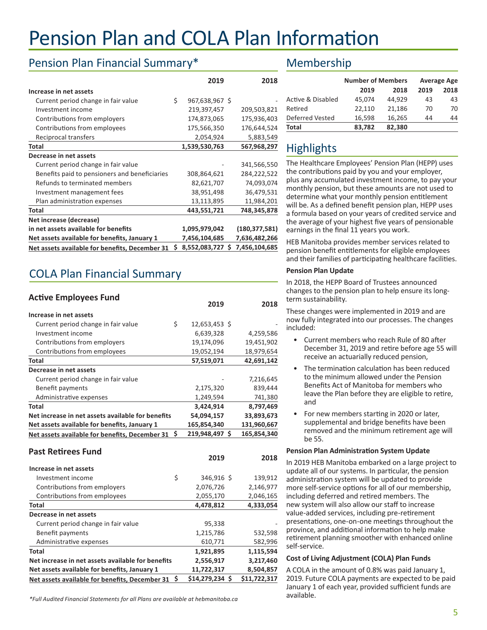## Pension Plan and COLA Plan Information

### Pension Plan Financial Summary\*

|                                                |    | 2019           |   | 2018            |
|------------------------------------------------|----|----------------|---|-----------------|
| Increase in net assets                         |    |                |   |                 |
| Current period change in fair value            | \$ | 967,638,967 \$ |   |                 |
| Investment income                              |    | 219,397,457    |   | 209,503,821     |
| Contributions from employers                   |    | 174,873,065    |   | 175,936,403     |
| Contributions from employees                   |    | 175,566,350    |   | 176,644,524     |
| Reciprocal transfers                           |    | 2,054,924      |   | 5,883,549       |
| Total                                          |    | 1,539,530,763  |   | 567,968,297     |
| Decrease in net assets                         |    |                |   |                 |
| Current period change in fair value            |    |                |   | 341,566,550     |
| Benefits paid to pensioners and beneficiaries  |    | 308,864,621    |   | 284,222,522     |
| Refunds to terminated members                  |    | 82,621,707     |   | 74,093,074      |
| Investment management fees                     |    | 38,951,498     |   | 36,479,531      |
| Plan administration expenses                   |    | 13,113,895     |   | 11,984,201      |
| Total                                          |    | 443,551,721    |   | 748,345,878     |
| Net increase (decrease)                        |    |                |   |                 |
| in net assets available for benefits           |    | 1,095,979,042  |   | (180, 377, 581) |
| Net assets available for benefits, January 1   |    | 7,456,104,685  |   | 7,636,482,266   |
| Net assets available for benefits, December 31 | Ś  | 8,552,083,727  | S | 7,456,104,685   |

## COLA Plan Financial Summary

| <b>Active Employees Fund</b>                      | 2019                  | 2018         |
|---------------------------------------------------|-----------------------|--------------|
| Increase in net assets                            |                       |              |
| Current period change in fair value               | \$<br>12,653,453 \$   |              |
| Investment income                                 | 6,639,328             | 4,259,586    |
| Contributions from employers                      | 19,174,096            | 19,451,902   |
| Contributions from employees                      | 19,052,194            | 18,979,654   |
| <b>Total</b>                                      | 57,519,071            | 42,691,142   |
| Decrease in net assets                            |                       |              |
| Current period change in fair value               |                       | 7,216,645    |
| Benefit payments                                  | 2,175,320             | 839,444      |
| Administrative expenses                           | 1,249,594             | 741,380      |
| Total                                             | 3,424,914             | 8,797,469    |
| Net increase in net assets available for benefits | 54,094,157            | 33,893,673   |
| Net assets available for benefits, January 1      | 165,854,340           | 131,960,667  |
| Net assets available for benefits, December 31    | \$<br>219,948,497 \$  | 165,854,340  |
|                                                   |                       |              |
| <b>Past Retirees Fund</b>                         | 2019                  | 2018         |
|                                                   |                       |              |
| Increase in net assets                            |                       |              |
| Investment income                                 | \$<br>346,916 \$      | 139,912      |
| Contributions from employers                      | 2,076,726             | 2,146,977    |
| Contributions from employees                      | 2,055,170             | 2,046,165    |
| <b>Total</b><br>Decrease in net assets            | 4,478,812             | 4,333,054    |
|                                                   |                       |              |
| Current period change in fair value               | 95,338                |              |
| Benefit payments                                  | 1,215,786             | 532,598      |
| Administrative expenses                           | 610,771               | 582,996      |
| <b>Total</b>                                      | 1,921,895             | 1,115,594    |
| Net increase in net assets available for benefits | 2,556,917             | 3,217,460    |
| Net assets available for benefits, January 1      | 11,722,317            | 8,504,857    |
| Net assets available for benefits, December 31    | \$<br>\$14,279,234 \$ | \$11,722,317 |

### Membership

|                   | <b>Number of Members</b> |        | <b>Average Age</b> |      |
|-------------------|--------------------------|--------|--------------------|------|
|                   | 2019                     | 2018   | 2019               | 2018 |
| Active & Disabled | 45,074                   | 44.929 | 43                 | 43   |
| Retired           | 22,110                   | 21,186 | 70                 | 70   |
| Deferred Vested   | 16,598                   | 16,265 | 44                 | 44   |
| Total             | 83,782                   | 82,380 |                    |      |

## Highlights

The Healthcare Employees' Pension Plan (HEPP) uses the contributions paid by you and your employer, plus any accumulated investment income, to pay your monthly pension, but these amounts are not used to determine what your monthly pension entitlement will be. As a defined benefit pension plan, HEPP uses a formula based on your years of credited service and the average of your highest five years of pensionable earnings in the final 11 years you work.

HEB Manitoba provides member services related to pension benefit entitlements for eligible employees and their families of participating healthcare facilities.

#### **Pension Plan Update**

In 2018, the HEPP Board of Trustees announced changes to the pension plan to help ensure its longterm sustainability.

These changes were implemented in 2019 and are now fully integrated into our processes. The changes included:

- Current members who reach Rule of 80 after December 31, 2019 and retire before age 55 will receive an actuarially reduced pension,
- The termination calculation has been reduced to the minimum allowed under the Pension Benefits Act of Manitoba for members who leave the Plan before they are eligible to retire, and
- For new members starting in 2020 or later, supplemental and bridge benefits have been removed and the minimum retirement age will be 55.

#### **Pension Plan Administration System Update**

In 2019 HEB Manitoba embarked on a large project to update all of our systems. In particular, the pension administration system will be updated to provide more self-service options for all of our membership, including deferred and retired members. The new system will also allow our staff to increase value-added services, including pre-retirement presentations, one-on-one meetings throughout the province, and additional information to help make retirement planning smoother with enhanced online self-service.

#### **Cost of Living Adjustment (COLA) Plan Funds**

A COLA in the amount of 0.8% was paid January 1, 2019. Future COLA payments are expected to be paid January 1 of each year, provided sufficient funds are available.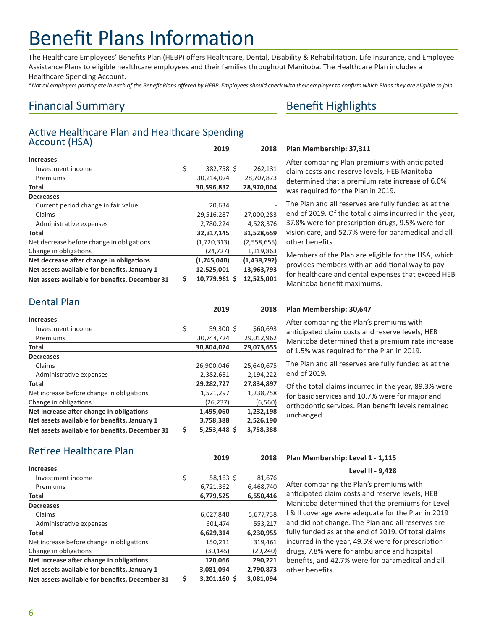## Benefit Plans Information

The Healthcare Employees' Benefits Plan (HEBP) offers Healthcare, Dental, Disability & Rehabilitation, Life Insurance, and Employee Assistance Plans to eligible healthcare employees and their families throughout Manitoba. The Healthcare Plan includes a Healthcare Spending Account.

*\*Not all employers participate in each of the Benefit Plans offered by HEBP. Employees should check with their employer to confirm which Plans they are eligible to join.*

### Financial Summary

#### Active Healthcare Plan and Healthcare Spending Account (HSA) **2019 2018**

|                                                |    | 2013          | 2010        |
|------------------------------------------------|----|---------------|-------------|
| <b>Increases</b>                               |    |               |             |
| Investment income                              | \$ | 382,758 \$    | 262,131     |
| Premiums                                       |    | 30,214,074    | 28,707,873  |
| <b>Total</b>                                   |    | 30,596,832    | 28,970,004  |
| <b>Decreases</b>                               |    |               |             |
| Current period change in fair value            |    | 20,634        |             |
| Claims                                         |    | 29,516,287    | 27,000,283  |
| Administrative expenses                        |    | 2,780,224     | 4,528,376   |
| <b>Total</b>                                   |    | 32,317,145    | 31,528,659  |
| Net decrease before change in obligations      |    | (1,720,313)   | (2,558,655) |
| Change in obligations                          |    | (24, 727)     | 1,119,863   |
| Net decrease after change in obligations       |    | (1,745,040)   | (1,438,792) |
| Net assets available for benefits, January 1   |    | 12,525,001    | 13,963,793  |
| Net assets available for benefits, December 31 | Ś  | 10,779,961 \$ | 12,525,001  |

| <b>Dental Plan</b> |  |
|--------------------|--|
|                    |  |

|                                                | 2019               | 2018       |
|------------------------------------------------|--------------------|------------|
| <b>Increases</b>                               |                    |            |
| Investment income                              | \$<br>$59,300$ \$  | \$60,693   |
| Premiums                                       | 30,744,724         | 29,012,962 |
| Total                                          | 30,804,024         | 29,073,655 |
| <b>Decreases</b>                               |                    |            |
| Claims                                         | 26,900,046         | 25,640,675 |
| Administrative expenses                        | 2,382,681          | 2,194,222  |
| Total                                          | 29,282,727         | 27,834,897 |
| Net increase before change in obligations      | 1,521,297          | 1,238,758  |
| Change in obligations                          | (26, 237)          | (6, 560)   |
| Net increase after change in obligations       | 1,495,060          | 1,232,198  |
| Net assets available for benefits, January 1   | 3,758,388          | 2,526,190  |
| Net assets available for benefits, December 31 | \$<br>5,253,448 \$ | 3,758,388  |

#### Retiree Healthcare Plan

|                                                | ---                | ----      |
|------------------------------------------------|--------------------|-----------|
| <b>Increases</b>                               |                    |           |
| Investment income                              | \$<br>$58,163$ \$  | 81,676    |
| Premiums                                       | 6,721,362          | 6,468,740 |
| Total                                          | 6,779,525          | 6,550,416 |
| <b>Decreases</b>                               |                    |           |
| Claims                                         | 6,027,840          | 5,677,738 |
| Administrative expenses                        | 601.474            | 553,217   |
| <b>Total</b>                                   | 6,629,314          | 6,230,955 |
| Net increase before change in obligations      | 150,211            | 319,461   |
| Change in obligations                          | (30, 145)          | (29, 240) |
| Net increase after change in obligations       | 120,066            | 290,221   |
| Net assets available for benefits, January 1   | 3,081,094          | 2,790,873 |
| Net assets available for benefits, December 31 | \$<br>3,201,160 \$ | 3.081.094 |

### Benefit Highlights

#### **Plan Membership: 37,311**

After comparing Plan premiums with anticipated claim costs and reserve levels, HEB Manitoba determined that a premium rate increase of 6.0% was required for the Plan in 2019.

The Plan and all reserves are fully funded as at the end of 2019. Of the total claims incurred in the year, 37.8% were for prescription drugs, 9.5% were for vision care, and 52.7% were for paramedical and all other benefits.

Members of the Plan are eligible for the HSA, which provides members with an additional way to pay for healthcare and dental expenses that exceed HEB Manitoba benefit maximums.

#### **Plan Membership: 30,647**

After comparing the Plan's premiums with anticipated claim costs and reserve levels, HEB Manitoba determined that a premium rate increase of 1.5% was required for the Plan in 2019.

The Plan and all reserves are fully funded as at the end of 2019.

Of the total claims incurred in the year, 89.3% were for basic services and 10.7% were for major and orthodontic services. Plan benefit levels remained unchanged.

#### **Plan Membership: Level 1 - 1,115 2019 2018**

#### **Level II - 9,428**

After comparing the Plan's premiums with anticipated claim costs and reserve levels, HEB Manitoba determined that the premiums for Level I & II coverage were adequate for the Plan in 2019 and did not change. The Plan and all reserves are fully funded as at the end of 2019. Of total claims incurred in the year, 49.5% were for prescription drugs, 7.8% were for ambulance and hospital benefits, and 42.7% were for paramedical and all other benefits.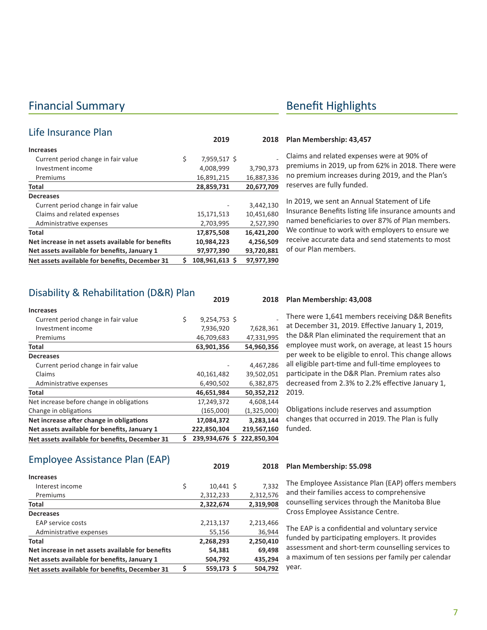### Financial Summary **Benefit Highlights**

| Life Insurance Plan                               |                      |            |
|---------------------------------------------------|----------------------|------------|
|                                                   | 2019                 | 2018       |
| <b>Increases</b>                                  |                      |            |
| Current period change in fair value               | \$<br>7,959,517 \$   |            |
| Investment income                                 | 4,008,999            | 3,790,373  |
| Premiums                                          | 16,891,215           | 16,887,336 |
| Total                                             | 28,859,731           | 20,677,709 |
| <b>Decreases</b>                                  |                      |            |
| Current period change in fair value               |                      | 3,442,130  |
| Claims and related expenses                       | 15,171,513           | 10,451,680 |
| Administrative expenses                           | 2,703,995            | 2,527,390  |
| Total                                             | 17,875,508           | 16,421,200 |
| Net increase in net assets available for benefits | 10,984,223           | 4,256,509  |
| Net assets available for benefits, January 1      | 97,977,390           | 93,720,881 |
| Net assets available for benefits, December 31    | \$<br>108.961.613 \$ | 97,977,390 |

#### **Plan Membership: 43,457**

Claims and related expenses were at 90% of premiums in 2019, up from 62% in 2018. There were no premium increases during 2019, and the Plan's reserves are fully funded.

In 2019, we sent an Annual Statement of Life Insurance Benefits listing life insurance amounts and named beneficiaries to over 87% of Plan members. We continue to work with employers to ensure we receive accurate data and send statements to most of our Plan members.

#### Disability & Rehabilitation (D&R) Plan

| Net assets available for benefits, December 31 | \$<br>239,934,676<br>S | 222,850,304   |
|------------------------------------------------|------------------------|---------------|
| Net assets available for benefits, January 1   | 222,850,304            | 219,567,160   |
| Net increase after change in obligations       | 17,084,372             | 3,283,144     |
| Change in obligations                          | (165,000)              | (1, 325, 000) |
| Net increase before change in obligations      | 17,249,372             | 4,608,144     |
| Total                                          | 46,651,984             | 50,352,212    |
| Administrative expenses                        | 6,490,502              | 6,382,875     |
| Claims                                         | 40,161,482             | 39,502,051    |
| Current period change in fair value            |                        | 4,467,286     |
| <b>Decreases</b>                               |                        |               |
| Total                                          | 63,901,356             | 54,960,356    |
| Premiums                                       | 46,709,683             | 47,331,995    |
| Investment income                              | 7,936,920              | 7,628,361     |
| Current period change in fair value            | \$<br>$9,254,753$ \$   |               |
| <b>Increases</b>                               |                        |               |
|                                                |                        |               |

#### **Plan Membership: 43,008 2019 2018**

There were 1,641 members receiving D&R Benefits at December 31, 2019. Effective January 1, 2019, the D&R Plan eliminated the requirement that an employee must work, on average, at least 15 hours per week to be eligible to enrol. This change allows all eligible part-time and full-time employees to participate in the D&R Plan. Premium rates also decreased from 2.3% to 2.2% effective January 1, 2019.

Obligations include reserves and assumption changes that occurred in 2019. The Plan is fully funded.

#### Employee Assistance Plan (EAP)

|                                                   | ----              | ---       |
|---------------------------------------------------|-------------------|-----------|
| <b>Increases</b>                                  |                   |           |
| Interest income                                   | \$<br>$10,441$ \$ | 7,332     |
| Premiums                                          | 2,312,233         | 2,312,576 |
| Total                                             | 2,322,674         | 2,319,908 |
| <b>Decreases</b>                                  |                   |           |
| EAP service costs                                 | 2,213,137         | 2,213,466 |
| Administrative expenses                           | 55,156            | 36,944    |
| <b>Total</b>                                      | 2,268,293         | 2,250,410 |
| Net increase in net assets available for benefits | 54,381            | 69,498    |
| Net assets available for benefits, January 1      | 504,792           | 435,294   |
| Net assets available for benefits, December 31    | \$<br>559,173 \$  | 504,792   |
|                                                   |                   |           |

#### **Plan Membership: 55.098 2019 2018**

The Employee Assistance Plan (EAP) offers members and their families access to comprehensive counselling services through the Manitoba Blue Cross Employee Assistance Centre.

The EAP is a confidential and voluntary service funded by participating employers. It provides assessment and short-term counselling services to a maximum of ten sessions per family per calendar year.